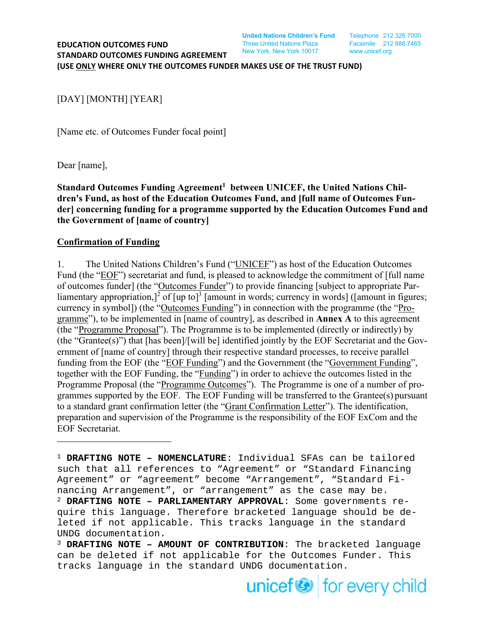**United Nations Children's Fund** Telephone 212 326 7000

[DAY] [MONTH] [YEAR]

[Name etc. of Outcomes Funder focal point]

Dear [name],

Standard Outcomes Funding Agreement<sup>1</sup> between UNICEF, the United Nations Chil**dren's Fund, as host of the Education Outcomes Fund, and [full name of Outcomes Funder] concerning funding for a programme supported by the Education Outcomes Fund and the Government of [name of country]** 

#### **Confirmation of Funding**

1. The United Nations Children's Fund ("UNICEF") as host of the Education Outcomes Fund (the "EOF") secretariat and fund, is pleased to acknowledge the commitment of [full name of outcomes funder] (the "Outcomes Funder") to provide financing [subject to appropriate Parliamentary appropriation,  $]^{2}$  of [up to]<sup>3</sup> [amount in words; currency in words] ([amount in figures; currency in symbol]) (the "Outcomes Funding") in connection with the programme (the "Programme"), to be implemented in [name of country], as described in **Annex A** to this agreement (the "Programme Proposal"). The Programme is to be implemented (directly or indirectly) by (the "Grantee(s)") that [has been]/[will be] identified jointly by the EOF Secretariat and the Government of [name of country] through their respective standard processes, to receive parallel funding from the EOF (the "EOF Funding") and the Government (the "Government Funding", together with the EOF Funding, the "Funding") in order to achieve the outcomes listed in the Programme Proposal (the "Programme Outcomes"). The Programme is one of a number of programmes supported by the EOF. The EOF Funding will be transferred to the Grantee(s) pursuant to a standard grant confirmation letter (the "Grant Confirmation Letter"). The identification, preparation and supervision of the Programme is the responsibility of the EOF ExCom and the EOF Secretariat.

<sup>1</sup> **DRAFTING NOTE – NOMENCLATURE**: Individual SFAs can be tailored such that all references to "Agreement" or "Standard Financing Agreement" or "agreement" become "Arrangement", "Standard Financing Arrangement", or "arrangement" as the case may be. <sup>2</sup> **DRAFTING NOTE – PARLIAMENTARY APPROVAL**: Some governments require this language. Therefore bracketed language should be deleted if not applicable. This tracks language in the standard UNDG documentation.

<sup>3</sup> **DRAFTING NOTE – AMOUNT OF CONTRIBUTION**: The bracketed language can be deleted if not applicable for the Outcomes Funder. This tracks language in the standard UNDG documentation.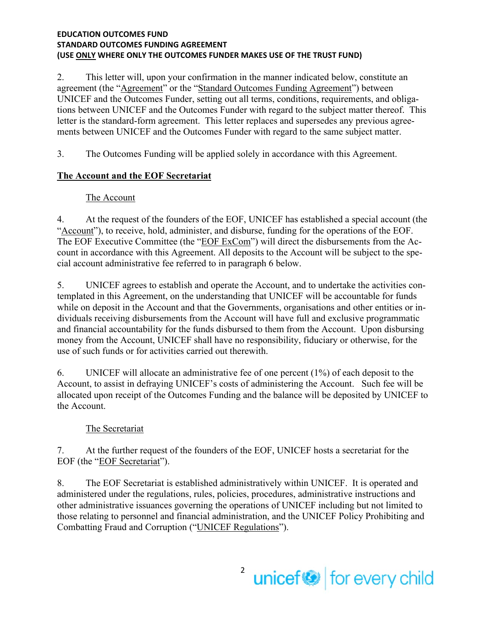2. This letter will, upon your confirmation in the manner indicated below, constitute an agreement (the "Agreement" or the "Standard Outcomes Funding Agreement") between UNICEF and the Outcomes Funder, setting out all terms, conditions, requirements, and obligations between UNICEF and the Outcomes Funder with regard to the subject matter thereof. This letter is the standard-form agreement. This letter replaces and supersedes any previous agreements between UNICEF and the Outcomes Funder with regard to the same subject matter.

3. The Outcomes Funding will be applied solely in accordance with this Agreement.

# **The Account and the EOF Secretariat**

# The Account

4. At the request of the founders of the EOF, UNICEF has established a special account (the "Account"), to receive, hold, administer, and disburse, funding for the operations of the EOF. The EOF Executive Committee (the "EOF ExCom") will direct the disbursements from the Account in accordance with this Agreement. All deposits to the Account will be subject to the special account administrative fee referred to in paragraph 6 below.

5. UNICEF agrees to establish and operate the Account, and to undertake the activities contemplated in this Agreement, on the understanding that UNICEF will be accountable for funds while on deposit in the Account and that the Governments, organisations and other entities or individuals receiving disbursements from the Account will have full and exclusive programmatic and financial accountability for the funds disbursed to them from the Account. Upon disbursing money from the Account, UNICEF shall have no responsibility, fiduciary or otherwise, for the use of such funds or for activities carried out therewith.

6. UNICEF will allocate an administrative fee of one percent (1%) of each deposit to the Account, to assist in defraying UNICEF's costs of administering the Account. Such fee will be allocated upon receipt of the Outcomes Funding and the balance will be deposited by UNICEF to the Account.

# The Secretariat

7. At the further request of the founders of the EOF, UNICEF hosts a secretariat for the EOF (the "EOF Secretariat").

8. The EOF Secretariat is established administratively within UNICEF. It is operated and administered under the regulations, rules, policies, procedures, administrative instructions and other administrative issuances governing the operations of UNICEF including but not limited to those relating to personnel and financial administration, and the UNICEF Policy Prohibiting and Combatting Fraud and Corruption ("UNICEF Regulations").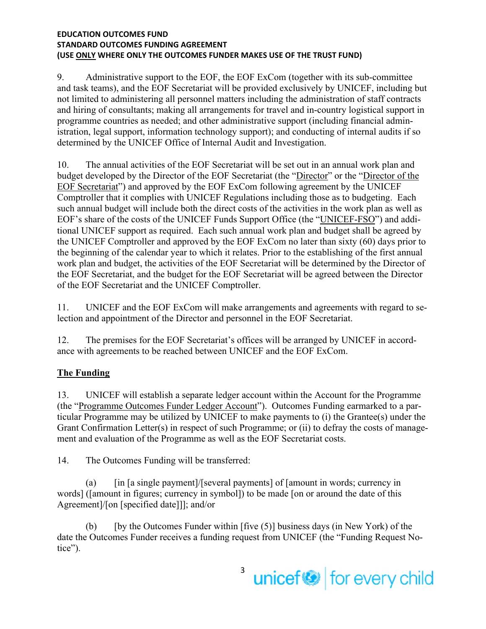9. Administrative support to the EOF, the EOF ExCom (together with its sub-committee and task teams), and the EOF Secretariat will be provided exclusively by UNICEF, including but not limited to administering all personnel matters including the administration of staff contracts and hiring of consultants; making all arrangements for travel and in-country logistical support in programme countries as needed; and other administrative support (including financial administration, legal support, information technology support); and conducting of internal audits if so determined by the UNICEF Office of Internal Audit and Investigation.

10. The annual activities of the EOF Secretariat will be set out in an annual work plan and budget developed by the Director of the EOF Secretariat (the "Director" or the "Director of the EOF Secretariat") and approved by the EOF ExCom following agreement by the UNICEF Comptroller that it complies with UNICEF Regulations including those as to budgeting. Each such annual budget will include both the direct costs of the activities in the work plan as well as EOF's share of the costs of the UNICEF Funds Support Office (the "UNICEF-FSO") and additional UNICEF support as required. Each such annual work plan and budget shall be agreed by the UNICEF Comptroller and approved by the EOF ExCom no later than sixty (60) days prior to the beginning of the calendar year to which it relates. Prior to the establishing of the first annual work plan and budget, the activities of the EOF Secretariat will be determined by the Director of the EOF Secretariat, and the budget for the EOF Secretariat will be agreed between the Director of the EOF Secretariat and the UNICEF Comptroller.

11. UNICEF and the EOF ExCom will make arrangements and agreements with regard to selection and appointment of the Director and personnel in the EOF Secretariat.

12. The premises for the EOF Secretariat's offices will be arranged by UNICEF in accordance with agreements to be reached between UNICEF and the EOF ExCom.

# **The Funding**

13. UNICEF will establish a separate ledger account within the Account for the Programme (the "Programme Outcomes Funder Ledger Account"). Outcomes Funding earmarked to a particular Programme may be utilized by UNICEF to make payments to (i) the Grantee(s) under the Grant Confirmation Letter(s) in respect of such Programme; or (ii) to defray the costs of management and evaluation of the Programme as well as the EOF Secretariat costs.

14. The Outcomes Funding will be transferred:

(a)  $\int$  [in [a single payment]/[several payments] of [amount in words; currency in words] ([amount in figures; currency in symbol]) to be made [on or around the date of this Agreement]/[on [specified date]]]; and/or

(b) [by the Outcomes Funder within  $[\text{five (5)}]$  business days (in New York) of the date the Outcomes Funder receives a funding request from UNICEF (the "Funding Request Notice").

> 3 unicef<sup>®</sup> for every child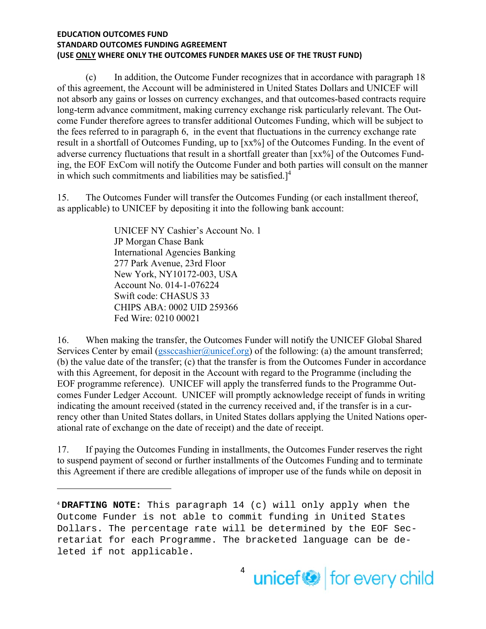(c) In addition, the Outcome Funder recognizes that in accordance with paragraph 18 of this agreement, the Account will be administered in United States Dollars and UNICEF will not absorb any gains or losses on currency exchanges, and that outcomes-based contracts require long-term advance commitment, making currency exchange risk particularly relevant. The Outcome Funder therefore agrees to transfer additional Outcomes Funding, which will be subject to the fees referred to in paragraph 6, in the event that fluctuations in the currency exchange rate result in a shortfall of Outcomes Funding, up to [xx%] of the Outcomes Funding. In the event of adverse currency fluctuations that result in a shortfall greater than [xx%] of the Outcomes Funding, the EOF ExCom will notify the Outcome Funder and both parties will consult on the manner in which such commitments and liabilities may be satisfied.] $4$ 

15. The Outcomes Funder will transfer the Outcomes Funding (or each installment thereof, as applicable) to UNICEF by depositing it into the following bank account:

> UNICEF NY Cashier's Account No. 1 JP Morgan Chase Bank International Agencies Banking 277 Park Avenue, 23rd Floor New York, NY10172-003, USA Account No. 014-1-076224 Swift code: CHASUS 33 CHIPS ABA: 0002 UID 259366 Fed Wire: 0210 00021

16. When making the transfer, the Outcomes Funder will notify the UNICEF Global Shared Services Center by email (gssccashier@unicef.org) of the following: (a) the amount transferred; (b) the value date of the transfer; (c) that the transfer is from the Outcomes Funder in accordance with this Agreement, for deposit in the Account with regard to the Programme (including the EOF programme reference). UNICEF will apply the transferred funds to the Programme Outcomes Funder Ledger Account. UNICEF will promptly acknowledge receipt of funds in writing indicating the amount received (stated in the currency received and, if the transfer is in a currency other than United States dollars, in United States dollars applying the United Nations operational rate of exchange on the date of receipt) and the date of receipt.

17. If paying the Outcomes Funding in installments, the Outcomes Funder reserves the right to suspend payment of second or further installments of the Outcomes Funding and to terminate this Agreement if there are credible allegations of improper use of the funds while on deposit in

<sup>4</sup> **DRAFTING NOTE:** This paragraph 14 (c) will only apply when the Outcome Funder is not able to commit funding in United States Dollars. The percentage rate will be determined by the EOF Secretariat for each Programme. The bracketed language can be deleted if not applicable.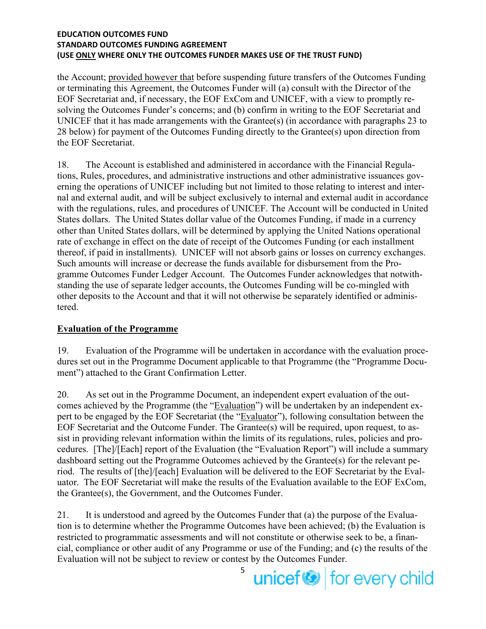the Account; provided however that before suspending future transfers of the Outcomes Funding or terminating this Agreement, the Outcomes Funder will (a) consult with the Director of the EOF Secretariat and, if necessary, the EOF ExCom and UNICEF, with a view to promptly resolving the Outcomes Funder's concerns; and (b) confirm in writing to the EOF Secretariat and UNICEF that it has made arrangements with the Grantee(s) (in accordance with paragraphs 23 to 28 below) for payment of the Outcomes Funding directly to the Grantee(s) upon direction from the EOF Secretariat.

18. The Account is established and administered in accordance with the Financial Regulations, Rules, procedures, and administrative instructions and other administrative issuances governing the operations of UNICEF including but not limited to those relating to interest and internal and external audit, and will be subject exclusively to internal and external audit in accordance with the regulations, rules, and procedures of UNICEF. The Account will be conducted in United States dollars. The United States dollar value of the Outcomes Funding, if made in a currency other than United States dollars, will be determined by applying the United Nations operational rate of exchange in effect on the date of receipt of the Outcomes Funding (or each installment thereof, if paid in installments). UNICEF will not absorb gains or losses on currency exchanges. Such amounts will increase or decrease the funds available for disbursement from the Programme Outcomes Funder Ledger Account. The Outcomes Funder acknowledges that notwithstanding the use of separate ledger accounts, the Outcomes Funding will be co-mingled with other deposits to the Account and that it will not otherwise be separately identified or administered.

# **Evaluation of the Programme**

19. Evaluation of the Programme will be undertaken in accordance with the evaluation procedures set out in the Programme Document applicable to that Programme (the "Programme Document") attached to the Grant Confirmation Letter.

20. As set out in the Programme Document, an independent expert evaluation of the outcomes achieved by the Programme (the "Evaluation") will be undertaken by an independent expert to be engaged by the EOF Secretariat (the "Evaluator"), following consultation between the EOF Secretariat and the Outcome Funder. The Grantee(s) will be required, upon request, to assist in providing relevant information within the limits of its regulations, rules, policies and procedures. [The]/[Each] report of the Evaluation (the "Evaluation Report") will include a summary dashboard setting out the Programme Outcomes achieved by the Grantee(s) for the relevant period. The results of [the]/[each] Evaluation will be delivered to the EOF Secretariat by the Evaluator. The EOF Secretariat will make the results of the Evaluation available to the EOF ExCom, the Grantee(s), the Government, and the Outcomes Funder.

21. It is understood and agreed by the Outcomes Funder that (a) the purpose of the Evaluation is to determine whether the Programme Outcomes have been achieved; (b) the Evaluation is restricted to programmatic assessments and will not constitute or otherwise seek to be, a financial, compliance or other audit of any Programme or use of the Funding; and (c) the results of the Evaluation will not be subject to review or contest by the Outcomes Funder.

5 unicef<sup>®</sup> for every child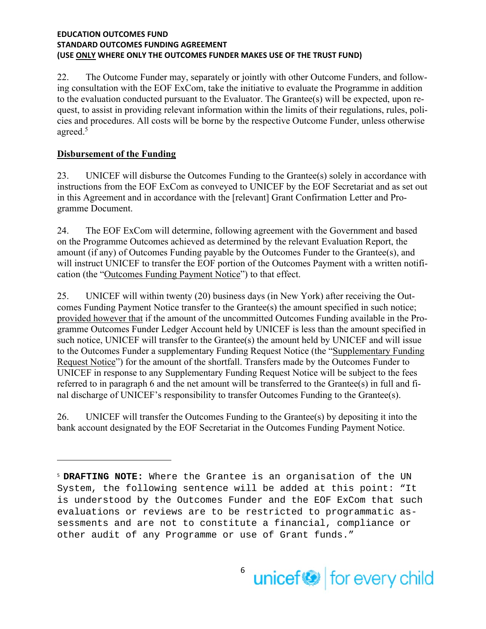22. The Outcome Funder may, separately or jointly with other Outcome Funders, and following consultation with the EOF ExCom, take the initiative to evaluate the Programme in addition to the evaluation conducted pursuant to the Evaluator. The Grantee(s) will be expected, upon request, to assist in providing relevant information within the limits of their regulations, rules, policies and procedures. All costs will be borne by the respective Outcome Funder, unless otherwise agreed.<sup>5</sup>

# **Disbursement of the Funding**

23. UNICEF will disburse the Outcomes Funding to the Grantee(s) solely in accordance with instructions from the EOF ExCom as conveyed to UNICEF by the EOF Secretariat and as set out in this Agreement and in accordance with the [relevant] Grant Confirmation Letter and Programme Document.

24. The EOF ExCom will determine, following agreement with the Government and based on the Programme Outcomes achieved as determined by the relevant Evaluation Report, the amount (if any) of Outcomes Funding payable by the Outcomes Funder to the Grantee(s), and will instruct UNICEF to transfer the EOF portion of the Outcomes Payment with a written notification (the "Outcomes Funding Payment Notice") to that effect.

25. UNICEF will within twenty (20) business days (in New York) after receiving the Outcomes Funding Payment Notice transfer to the Grantee(s) the amount specified in such notice; provided however that if the amount of the uncommitted Outcomes Funding available in the Programme Outcomes Funder Ledger Account held by UNICEF is less than the amount specified in such notice, UNICEF will transfer to the Grantee(s) the amount held by UNICEF and will issue to the Outcomes Funder a supplementary Funding Request Notice (the "Supplementary Funding Request Notice") for the amount of the shortfall. Transfers made by the Outcomes Funder to UNICEF in response to any Supplementary Funding Request Notice will be subject to the fees referred to in paragraph 6 and the net amount will be transferred to the Grantee(s) in full and final discharge of UNICEF's responsibility to transfer Outcomes Funding to the Grantee(s).

26. UNICEF will transfer the Outcomes Funding to the Grantee(s) by depositing it into the bank account designated by the EOF Secretariat in the Outcomes Funding Payment Notice.

<sup>5</sup> **DRAFTING NOTE:** Where the Grantee is an organisation of the UN System, the following sentence will be added at this point: "It is understood by the Outcomes Funder and the EOF ExCom that such evaluations or reviews are to be restricted to programmatic assessments and are not to constitute a financial, compliance or other audit of any Programme or use of Grant funds."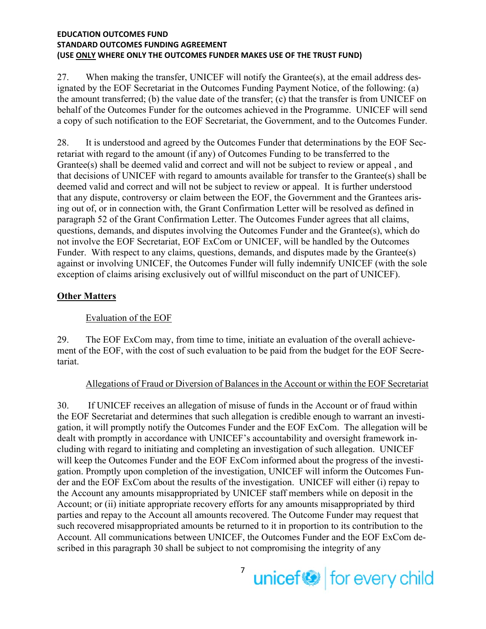27. When making the transfer, UNICEF will notify the Grantee(s), at the email address designated by the EOF Secretariat in the Outcomes Funding Payment Notice, of the following: (a) the amount transferred; (b) the value date of the transfer; (c) that the transfer is from UNICEF on behalf of the Outcomes Funder for the outcomes achieved in the Programme. UNICEF will send a copy of such notification to the EOF Secretariat, the Government, and to the Outcomes Funder.

28. It is understood and agreed by the Outcomes Funder that determinations by the EOF Secretariat with regard to the amount (if any) of Outcomes Funding to be transferred to the Grantee(s) shall be deemed valid and correct and will not be subject to review or appeal , and that decisions of UNICEF with regard to amounts available for transfer to the Grantee(s) shall be deemed valid and correct and will not be subject to review or appeal. It is further understood that any dispute, controversy or claim between the EOF, the Government and the Grantees arising out of, or in connection with, the Grant Confirmation Letter will be resolved as defined in paragraph 52 of the Grant Confirmation Letter. The Outcomes Funder agrees that all claims, questions, demands, and disputes involving the Outcomes Funder and the Grantee(s), which do not involve the EOF Secretariat, EOF ExCom or UNICEF, will be handled by the Outcomes Funder. With respect to any claims, questions, demands, and disputes made by the Grantee(s) against or involving UNICEF, the Outcomes Funder will fully indemnify UNICEF (with the sole exception of claims arising exclusively out of willful misconduct on the part of UNICEF).

### **Other Matters**

### Evaluation of the EOF

29. The EOF ExCom may, from time to time, initiate an evaluation of the overall achievement of the EOF, with the cost of such evaluation to be paid from the budget for the EOF Secretariat.

#### Allegations of Fraud or Diversion of Balances in the Account or within the EOF Secretariat

30. If UNICEF receives an allegation of misuse of funds in the Account or of fraud within the EOF Secretariat and determines that such allegation is credible enough to warrant an investigation, it will promptly notify the Outcomes Funder and the EOF ExCom. The allegation will be dealt with promptly in accordance with UNICEF's accountability and oversight framework including with regard to initiating and completing an investigation of such allegation. UNICEF will keep the Outcomes Funder and the EOF ExCom informed about the progress of the investigation. Promptly upon completion of the investigation, UNICEF will inform the Outcomes Funder and the EOF ExCom about the results of the investigation. UNICEF will either (i) repay to the Account any amounts misappropriated by UNICEF staff members while on deposit in the Account; or (ii) initiate appropriate recovery efforts for any amounts misappropriated by third parties and repay to the Account all amounts recovered. The Outcome Funder may request that such recovered misappropriated amounts be returned to it in proportion to its contribution to the Account. All communications between UNICEF, the Outcomes Funder and the EOF ExCom described in this paragraph 30 shall be subject to not compromising the integrity of any

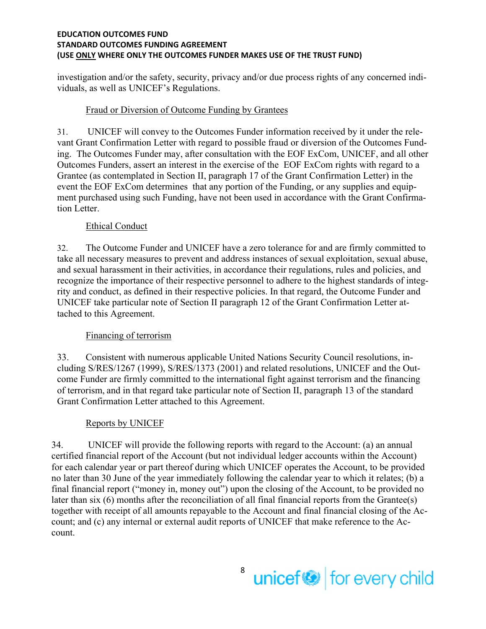investigation and/or the safety, security, privacy and/or due process rights of any concerned individuals, as well as UNICEF's Regulations.

# Fraud or Diversion of Outcome Funding by Grantees

31. UNICEF will convey to the Outcomes Funder information received by it under the relevant Grant Confirmation Letter with regard to possible fraud or diversion of the Outcomes Funding. The Outcomes Funder may, after consultation with the EOF ExCom, UNICEF, and all other Outcomes Funders, assert an interest in the exercise of the EOF ExCom rights with regard to a Grantee (as contemplated in Section II, paragraph 17 of the Grant Confirmation Letter) in the event the EOF ExCom determines that any portion of the Funding, or any supplies and equipment purchased using such Funding, have not been used in accordance with the Grant Confirmation Letter.

# Ethical Conduct

32. The Outcome Funder and UNICEF have a zero tolerance for and are firmly committed to take all necessary measures to prevent and address instances of sexual exploitation, sexual abuse, and sexual harassment in their activities, in accordance their regulations, rules and policies, and recognize the importance of their respective personnel to adhere to the highest standards of integrity and conduct, as defined in their respective policies. In that regard, the Outcome Funder and UNICEF take particular note of Section II paragraph 12 of the Grant Confirmation Letter attached to this Agreement.

# Financing of terrorism

33. Consistent with numerous applicable United Nations Security Council resolutions, including S/RES/1267 (1999), S/RES/1373 (2001) and related resolutions, UNICEF and the Outcome Funder are firmly committed to the international fight against terrorism and the financing of terrorism, and in that regard take particular note of Section II, paragraph 13 of the standard Grant Confirmation Letter attached to this Agreement.

# Reports by UNICEF

34. UNICEF will provide the following reports with regard to the Account: (a) an annual certified financial report of the Account (but not individual ledger accounts within the Account) for each calendar year or part thereof during which UNICEF operates the Account, to be provided no later than 30 June of the year immediately following the calendar year to which it relates; (b) a final financial report ("money in, money out") upon the closing of the Account, to be provided no later than six (6) months after the reconciliation of all final financial reports from the Grantee(s) together with receipt of all amounts repayable to the Account and final financial closing of the Account; and (c) any internal or external audit reports of UNICEF that make reference to the Account.

> 8 unicef<sup>or</sup> for every child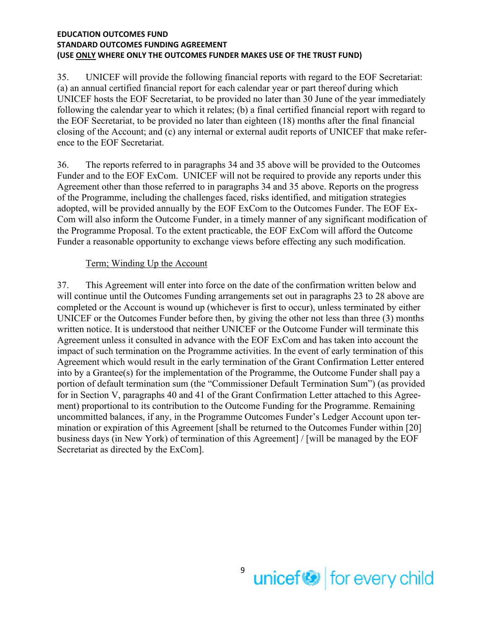35. UNICEF will provide the following financial reports with regard to the EOF Secretariat: (a) an annual certified financial report for each calendar year or part thereof during which UNICEF hosts the EOF Secretariat, to be provided no later than 30 June of the year immediately following the calendar year to which it relates; (b) a final certified financial report with regard to the EOF Secretariat, to be provided no later than eighteen (18) months after the final financial closing of the Account; and (c) any internal or external audit reports of UNICEF that make reference to the EOF Secretariat.

36. The reports referred to in paragraphs 34 and 35 above will be provided to the Outcomes Funder and to the EOF ExCom. UNICEF will not be required to provide any reports under this Agreement other than those referred to in paragraphs 34 and 35 above. Reports on the progress of the Programme, including the challenges faced, risks identified, and mitigation strategies adopted, will be provided annually by the EOF ExCom to the Outcomes Funder. The EOF Ex-Com will also inform the Outcome Funder, in a timely manner of any significant modification of the Programme Proposal. To the extent practicable, the EOF ExCom will afford the Outcome Funder a reasonable opportunity to exchange views before effecting any such modification.

### Term; Winding Up the Account

37. This Agreement will enter into force on the date of the confirmation written below and will continue until the Outcomes Funding arrangements set out in paragraphs 23 to 28 above are completed or the Account is wound up (whichever is first to occur), unless terminated by either UNICEF or the Outcomes Funder before then, by giving the other not less than three (3) months written notice. It is understood that neither UNICEF or the Outcome Funder will terminate this Agreement unless it consulted in advance with the EOF ExCom and has taken into account the impact of such termination on the Programme activities. In the event of early termination of this Agreement which would result in the early termination of the Grant Confirmation Letter entered into by a Grantee(s) for the implementation of the Programme, the Outcome Funder shall pay a portion of default termination sum (the "Commissioner Default Termination Sum") (as provided for in Section V, paragraphs 40 and 41 of the Grant Confirmation Letter attached to this Agreement) proportional to its contribution to the Outcome Funding for the Programme. Remaining uncommitted balances, if any, in the Programme Outcomes Funder's Ledger Account upon termination or expiration of this Agreement [shall be returned to the Outcomes Funder within [20] business days (in New York) of termination of this Agreement] / [will be managed by the EOF Secretariat as directed by the ExCom].

> 9 unicef<sup>or</sup> for every child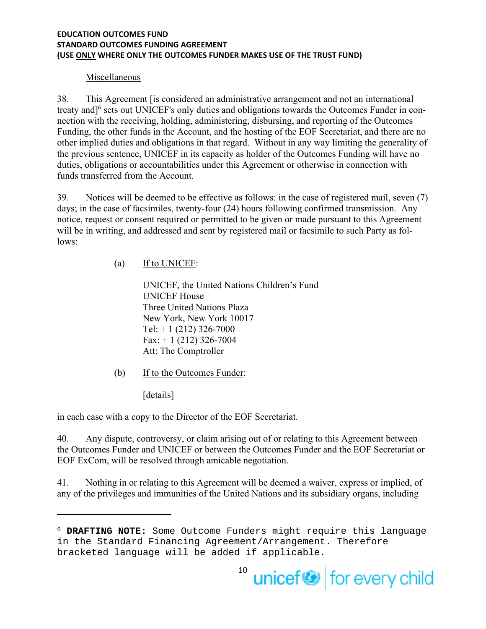### Miscellaneous

38. This Agreement [is considered an administrative arrangement and not an international treaty and<sup>16</sup> sets out UNICEF's only duties and obligations towards the Outcomes Funder in connection with the receiving, holding, administering, disbursing, and reporting of the Outcomes Funding, the other funds in the Account, and the hosting of the EOF Secretariat, and there are no other implied duties and obligations in that regard. Without in any way limiting the generality of the previous sentence, UNICEF in its capacity as holder of the Outcomes Funding will have no duties, obligations or accountabilities under this Agreement or otherwise in connection with funds transferred from the Account.

39. Notices will be deemed to be effective as follows: in the case of registered mail, seven (7) days; in the case of facsimiles, twenty-four (24) hours following confirmed transmission. Any notice, request or consent required or permitted to be given or made pursuant to this Agreement will be in writing, and addressed and sent by registered mail or facsimile to such Party as follows:

(a) If to UNICEF:

UNICEF, the United Nations Children's Fund UNICEF House Three United Nations Plaza New York, New York 10017 Tel:  $+ 1$  (212) 326-7000  $Fax: + 1 (212) 326-7004$ Att: The Comptroller

(b) If to the Outcomes Funder:

[details]

in each case with a copy to the Director of the EOF Secretariat.

40. Any dispute, controversy, or claim arising out of or relating to this Agreement between the Outcomes Funder and UNICEF or between the Outcomes Funder and the EOF Secretariat or EOF ExCom, will be resolved through amicable negotiation.

41. Nothing in or relating to this Agreement will be deemed a waiver, express or implied, of any of the privileges and immunities of the United Nations and its subsidiary organs, including

<sup>6</sup> **DRAFTING NOTE:** Some Outcome Funders might require this language in the Standard Financing Agreement/Arrangement. Therefore bracketed language will be added if applicable.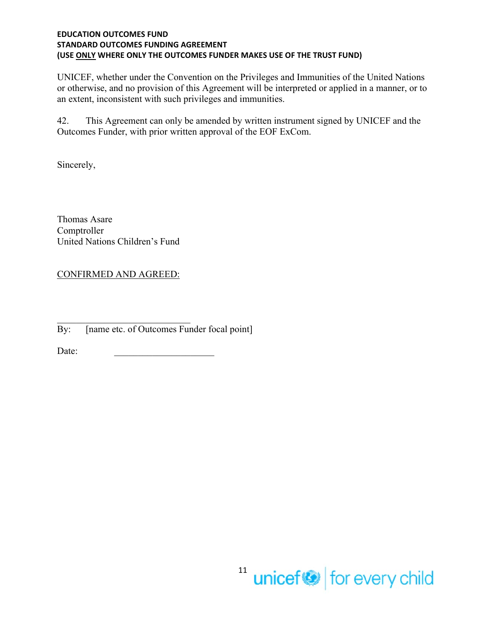UNICEF, whether under the Convention on the Privileges and Immunities of the United Nations or otherwise, and no provision of this Agreement will be interpreted or applied in a manner, or to an extent, inconsistent with such privileges and immunities.

42. This Agreement can only be amended by written instrument signed by UNICEF and the Outcomes Funder, with prior written approval of the EOF ExCom.

Sincerely,

Thomas Asare Comptroller United Nations Children's Fund

CONFIRMED AND AGREED:

By: [name etc. of Outcomes Funder focal point]

Date: